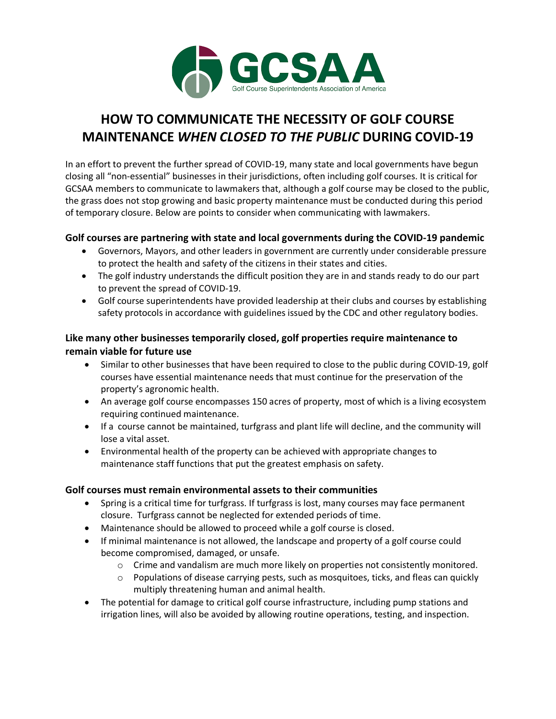

# **HOW TO COMMUNICATE THE NECESSITY OF GOLF COURSE MAINTENANCE** *WHEN CLOSED TO THE PUBLIC* **DURING COVID-19**

In an effort to prevent the further spread of COVID-19, many state and local governments have begun closing all "non-essential" businesses in their jurisdictions, often including golf courses. It is critical for GCSAA members to communicate to lawmakers that, although a golf course may be closed to the public, the grass does not stop growing and basic property maintenance must be conducted during this period of temporary closure. Below are points to consider when communicating with lawmakers.

#### **Golf courses are partnering with state and local governments during the COVID-19 pandemic**

- Governors, Mayors, and other leaders in government are currently under considerable pressure to protect the health and safety of the citizens in their states and cities.
- The golf industry understands the difficult position they are in and stands ready to do our part to prevent the spread of COVID-19.
- Golf course superintendents have provided leadership at their clubs and courses by establishing safety protocols in accordance with guidelines issued by the CDC and other regulatory bodies.

### **Like many other businesses temporarily closed, golf properties require maintenance to remain viable for future use**

- Similar to other businesses that have been required to close to the public during COVID-19, golf courses have essential maintenance needs that must continue for the preservation of the property's agronomic health.
- An average golf course encompasses 150 acres of property, most of which is a living ecosystem requiring continued maintenance.
- If a course cannot be maintained, turfgrass and plant life will decline, and the community will lose a vital asset.
- Environmental health of the property can be achieved with appropriate changes to maintenance staff functions that put the greatest emphasis on safety.

#### **Golf courses must remain environmental assets to their communities**

- Spring is a critical time for turfgrass. If turfgrass is lost, many courses may face permanent closure. Turfgrass cannot be neglected for extended periods of time.
- Maintenance should be allowed to proceed while a golf course is closed.
- If minimal maintenance is not allowed, the landscape and property of a golf course could become compromised, damaged, or unsafe.
	- $\circ$  Crime and vandalism are much more likely on properties not consistently monitored.
	- $\circ$  Populations of disease carrying pests, such as mosquitoes, ticks, and fleas can quickly multiply threatening human and animal health.
- The potential for damage to critical golf course infrastructure, including pump stations and irrigation lines, will also be avoided by allowing routine operations, testing, and inspection.